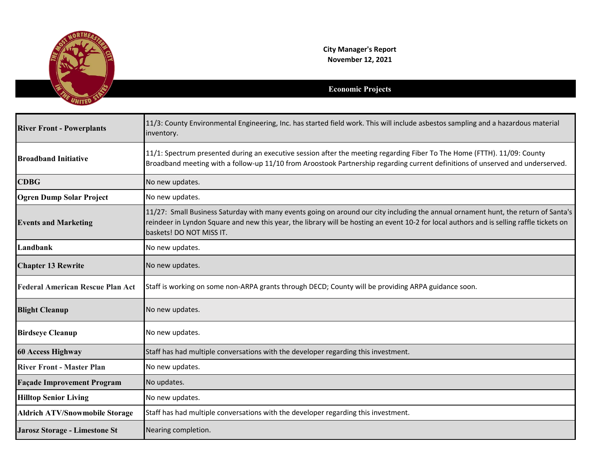

**City Manager's Report November 12, 2021**

## **Economic Projects**

| <b>River Front - Powerplants</b>        | 11/3: County Environmental Engineering, Inc. has started field work. This will include asbestos sampling and a hazardous material<br>inventory.                                                                                                                                                             |
|-----------------------------------------|-------------------------------------------------------------------------------------------------------------------------------------------------------------------------------------------------------------------------------------------------------------------------------------------------------------|
| <b>Broadband Initiative</b>             | 11/1: Spectrum presented during an executive session after the meeting regarding Fiber To The Home (FTTH). 11/09: County<br>Broadband meeting with a follow-up 11/10 from Aroostook Partnership regarding current definitions of unserved and underserved.                                                  |
| <b>CDBG</b>                             | No new updates.                                                                                                                                                                                                                                                                                             |
| <b>Ogren Dump Solar Project</b>         | No new updates.                                                                                                                                                                                                                                                                                             |
| <b>Events and Marketing</b>             | 11/27: Small Business Saturday with many events going on around our city including the annual ornament hunt, the return of Santa's<br>reindeer in Lyndon Square and new this year, the library will be hosting an event 10-2 for local authors and is selling raffle tickets on<br>baskets! DO NOT MISS IT. |
| Landbank                                | No new updates.                                                                                                                                                                                                                                                                                             |
| <b>Chapter 13 Rewrite</b>               | No new updates.                                                                                                                                                                                                                                                                                             |
| <b>Federal American Rescue Plan Act</b> | Staff is working on some non-ARPA grants through DECD; County will be providing ARPA guidance soon.                                                                                                                                                                                                         |
| <b>Blight Cleanup</b>                   | No new updates.                                                                                                                                                                                                                                                                                             |
| <b>Birdseye Cleanup</b>                 | No new updates.                                                                                                                                                                                                                                                                                             |
| <b>60 Access Highway</b>                | Staff has had multiple conversations with the developer regarding this investment.                                                                                                                                                                                                                          |
| <b>River Front - Master Plan</b>        | No new updates.                                                                                                                                                                                                                                                                                             |
| <b>Façade Improvement Program</b>       | No updates.                                                                                                                                                                                                                                                                                                 |
| <b>Hilltop Senior Living</b>            | No new updates.                                                                                                                                                                                                                                                                                             |
| <b>Aldrich ATV/Snowmobile Storage</b>   | Staff has had multiple conversations with the developer regarding this investment.                                                                                                                                                                                                                          |
| <b>Jarosz Storage - Limestone St</b>    | Nearing completion.                                                                                                                                                                                                                                                                                         |